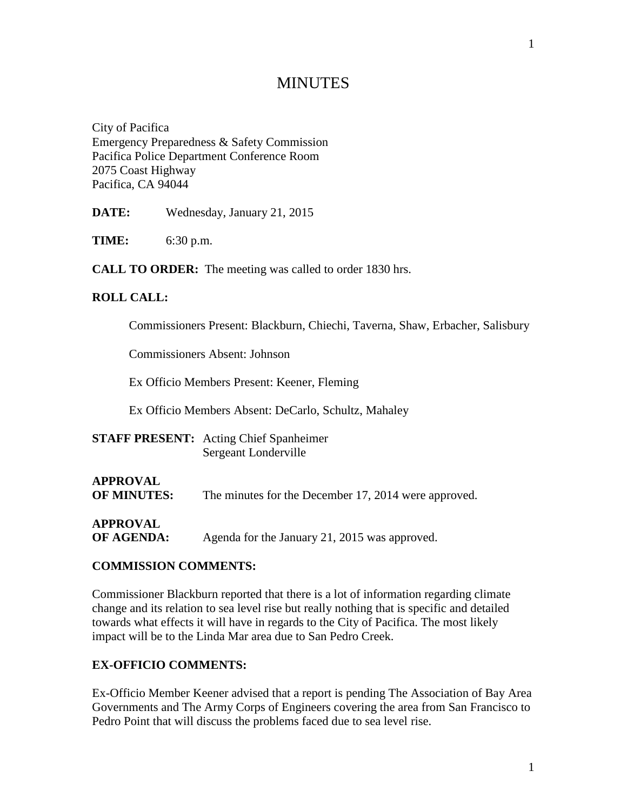# **MINUTES**

City of Pacifica Emergency Preparedness & Safety Commission Pacifica Police Department Conference Room 2075 Coast Highway Pacifica, CA 94044

**DATE:** Wednesday, January 21, 2015

**TIME:** 6:30 p.m.

**CALL TO ORDER:** The meeting was called to order 1830 hrs.

#### **ROLL CALL:**

Commissioners Present: Blackburn, Chiechi, Taverna, Shaw, Erbacher, Salisbury

Commissioners Absent: Johnson

Ex Officio Members Present: Keener, Fleming

Ex Officio Members Absent: DeCarlo, Schultz, Mahaley

**STAFF PRESENT:** Acting Chief Spanheimer Sergeant Londerville

# **APPROVAL**

**OF MINUTES:** The minutes for the December 17, 2014 were approved.

# **APPROVAL**

**OF AGENDA:** Agenda for the January 21, 2015 was approved.

#### **COMMISSION COMMENTS:**

Commissioner Blackburn reported that there is a lot of information regarding climate change and its relation to sea level rise but really nothing that is specific and detailed towards what effects it will have in regards to the City of Pacifica. The most likely impact will be to the Linda Mar area due to San Pedro Creek.

#### **EX-OFFICIO COMMENTS:**

Ex-Officio Member Keener advised that a report is pending The Association of Bay Area Governments and The Army Corps of Engineers covering the area from San Francisco to Pedro Point that will discuss the problems faced due to sea level rise.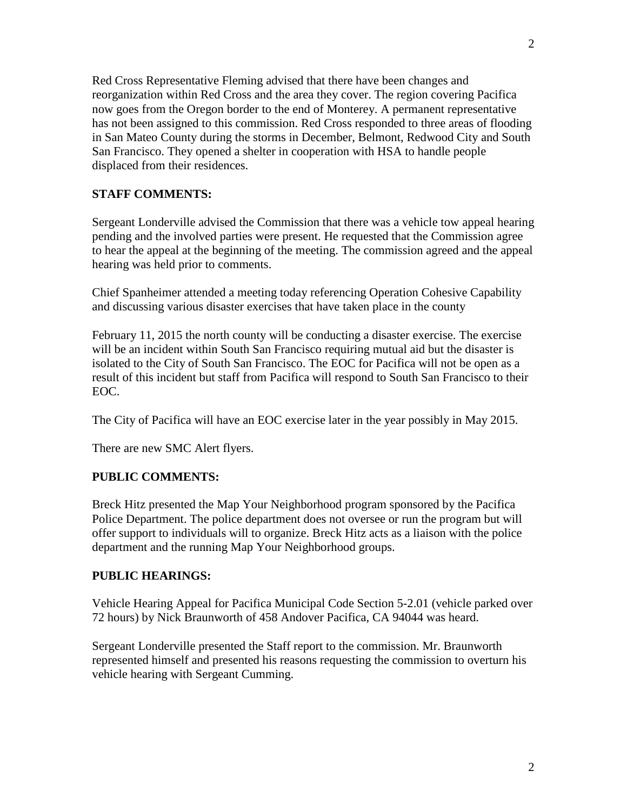Red Cross Representative Fleming advised that there have been changes and reorganization within Red Cross and the area they cover. The region covering Pacifica now goes from the Oregon border to the end of Monterey. A permanent representative has not been assigned to this commission. Red Cross responded to three areas of flooding in San Mateo County during the storms in December, Belmont, Redwood City and South San Francisco. They opened a shelter in cooperation with HSA to handle people displaced from their residences.

## **STAFF COMMENTS:**

Sergeant Londerville advised the Commission that there was a vehicle tow appeal hearing pending and the involved parties were present. He requested that the Commission agree to hear the appeal at the beginning of the meeting. The commission agreed and the appeal hearing was held prior to comments.

Chief Spanheimer attended a meeting today referencing Operation Cohesive Capability and discussing various disaster exercises that have taken place in the county

February 11, 2015 the north county will be conducting a disaster exercise. The exercise will be an incident within South San Francisco requiring mutual aid but the disaster is isolated to the City of South San Francisco. The EOC for Pacifica will not be open as a result of this incident but staff from Pacifica will respond to South San Francisco to their EOC.

The City of Pacifica will have an EOC exercise later in the year possibly in May 2015.

There are new SMC Alert flyers.

### **PUBLIC COMMENTS:**

Breck Hitz presented the Map Your Neighborhood program sponsored by the Pacifica Police Department. The police department does not oversee or run the program but will offer support to individuals will to organize. Breck Hitz acts as a liaison with the police department and the running Map Your Neighborhood groups.

### **PUBLIC HEARINGS:**

Vehicle Hearing Appeal for Pacifica Municipal Code Section 5-2.01 (vehicle parked over 72 hours) by Nick Braunworth of 458 Andover Pacifica, CA 94044 was heard.

Sergeant Londerville presented the Staff report to the commission. Mr. Braunworth represented himself and presented his reasons requesting the commission to overturn his vehicle hearing with Sergeant Cumming.